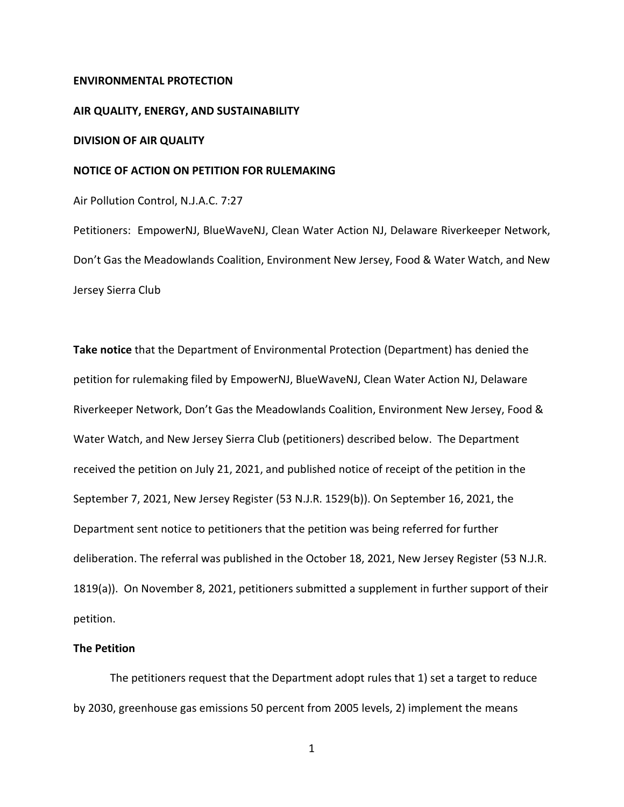#### **ENVIRONMENTAL PROTECTION**

#### **AIR QUALITY, ENERGY, AND SUSTAINABILITY**

## **DIVISION OF AIR QUALITY**

## **NOTICE OF ACTION ON PETITION FOR RULEMAKING**

Air Pollution Control, N.J.A.C. 7:27

Petitioners: EmpowerNJ, BlueWaveNJ, Clean Water Action NJ, Delaware Riverkeeper Network, Don't Gas the Meadowlands Coalition, Environment New Jersey, Food & Water Watch, and New Jersey Sierra Club

**Take notice** that the Department of Environmental Protection (Department) has denied the petition for rulemaking filed by EmpowerNJ, BlueWaveNJ, Clean Water Action NJ, Delaware Riverkeeper Network, Don't Gas the Meadowlands Coalition, Environment New Jersey, Food & Water Watch, and New Jersey Sierra Club (petitioners) described below. The Department received the petition on July 21, 2021, and published notice of receipt of the petition in the September 7, 2021, New Jersey Register (53 N.J.R. 1529(b)). On September 16, 2021, the Department sent notice to petitioners that the petition was being referred for further deliberation. The referral was published in the October 18, 2021, New Jersey Register (53 N.J.R. 1819(a)). On November 8, 2021, petitioners submitted a supplement in further support of their petition.

#### **The Petition**

The petitioners request that the Department adopt rules that 1) set a target to reduce by 2030, greenhouse gas emissions 50 percent from 2005 levels, 2) implement the means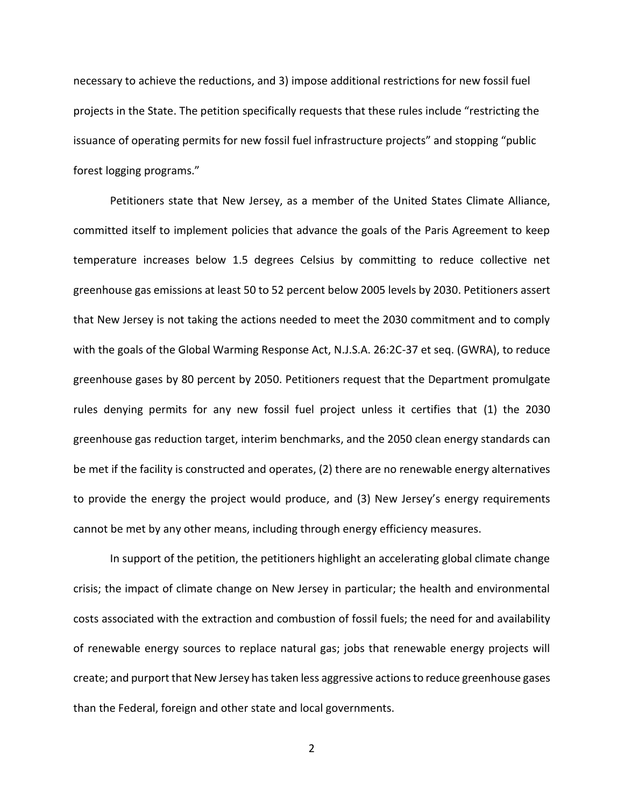necessary to achieve the reductions, and 3) impose additional restrictions for new fossil fuel projects in the State. The petition specifically requests that these rules include "restricting the issuance of operating permits for new fossil fuel infrastructure projects" and stopping "public forest logging programs."

Petitioners state that New Jersey, as a member of the United States Climate Alliance, committed itself to implement policies that advance the goals of the Paris Agreement to keep temperature increases below 1.5 degrees Celsius by committing to reduce collective net greenhouse gas emissions at least 50 to 52 percent below 2005 levels by 2030. Petitioners assert that New Jersey is not taking the actions needed to meet the 2030 commitment and to comply with the goals of the Global Warming Response Act, N.J.S.A. 26:2C-37 et seq. (GWRA), to reduce greenhouse gases by 80 percent by 2050. Petitioners request that the Department promulgate rules denying permits for any new fossil fuel project unless it certifies that (1) the 2030 greenhouse gas reduction target, interim benchmarks, and the 2050 clean energy standards can be met if the facility is constructed and operates, (2) there are no renewable energy alternatives to provide the energy the project would produce, and (3) New Jersey's energy requirements cannot be met by any other means, including through energy efficiency measures.

In support of the petition, the petitioners highlight an accelerating global climate change crisis; the impact of climate change on New Jersey in particular; the health and environmental costs associated with the extraction and combustion of fossil fuels; the need for and availability of renewable energy sources to replace natural gas; jobs that renewable energy projects will create; and purport that New Jersey has taken less aggressive actionsto reduce greenhouse gases than the Federal, foreign and other state and local governments.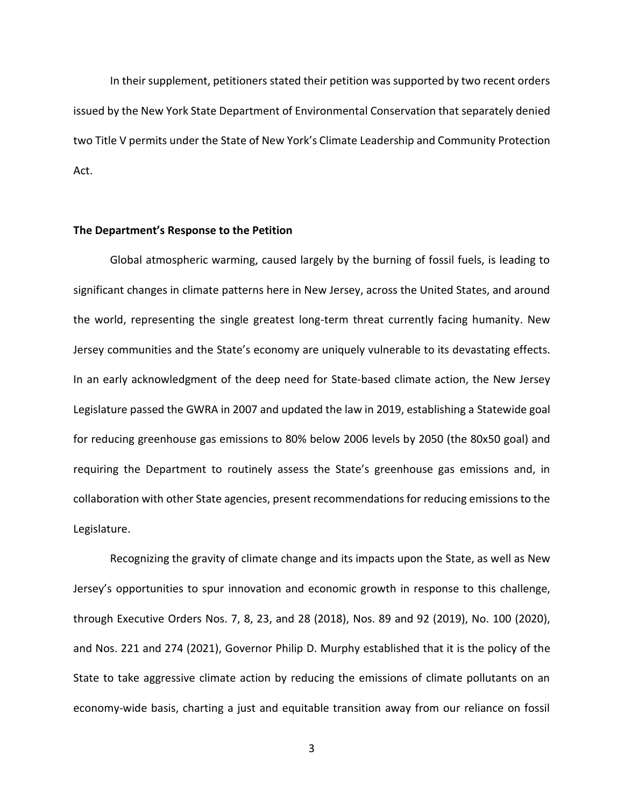In their supplement, petitioners stated their petition was supported by two recent orders issued by the New York State Department of Environmental Conservation that separately denied two Title V permits under the State of New York's Climate Leadership and Community Protection Act.

## **The Department's Response to the Petition**

Global atmospheric warming, caused largely by the burning of fossil fuels, is leading to significant changes in climate patterns here in New Jersey, across the United States, and around the world, representing the single greatest long-term threat currently facing humanity. New Jersey communities and the State's economy are uniquely vulnerable to its devastating effects. In an early acknowledgment of the deep need for State-based climate action, the New Jersey Legislature passed the GWRA in 2007 and updated the law in 2019, establishing a Statewide goal for reducing greenhouse gas emissions to 80% below 2006 levels by 2050 (the 80x50 goal) and requiring the Department to routinely assess the State's greenhouse gas emissions and, in collaboration with other State agencies, present recommendations for reducing emissions to the Legislature.

Recognizing the gravity of climate change and its impacts upon the State, as well as New Jersey's opportunities to spur innovation and economic growth in response to this challenge, through Executive Orders Nos. 7, 8, 23, and 28 (2018), Nos. 89 and 92 (2019), No. 100 (2020), and Nos. 221 and 274 (2021), Governor Philip D. Murphy established that it is the policy of the State to take aggressive climate action by reducing the emissions of climate pollutants on an economy-wide basis, charting a just and equitable transition away from our reliance on fossil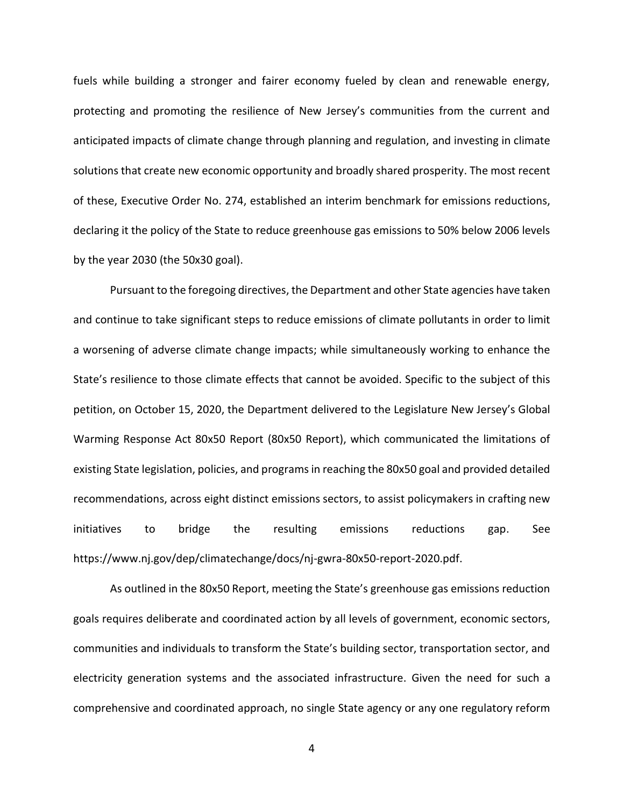fuels while building a stronger and fairer economy fueled by clean and renewable energy, protecting and promoting the resilience of New Jersey's communities from the current and anticipated impacts of climate change through planning and regulation, and investing in climate solutions that create new economic opportunity and broadly shared prosperity. The most recent of these, Executive Order No. 274, established an interim benchmark for emissions reductions, declaring it the policy of the State to reduce greenhouse gas emissions to 50% below 2006 levels by the year 2030 (the 50x30 goal).

Pursuant to the foregoing directives, the Department and other State agencies have taken and continue to take significant steps to reduce emissions of climate pollutants in order to limit a worsening of adverse climate change impacts; while simultaneously working to enhance the State's resilience to those climate effects that cannot be avoided. Specific to the subject of this petition, on October 15, 2020, the Department delivered to the Legislature New Jersey's Global Warming Response Act 80x50 Report (80x50 Report), which communicated the limitations of existing State legislation, policies, and programs in reaching the 80x50 goal and provided detailed recommendations, across eight distinct emissions sectors, to assist policymakers in crafting new initiatives to bridge the resulting emissions reductions gap. See https://www.nj.gov/dep/climatechange/docs/nj-gwra-80x50-report-2020.pdf.

As outlined in the 80x50 Report, meeting the State's greenhouse gas emissions reduction goals requires deliberate and coordinated action by all levels of government, economic sectors, communities and individuals to transform the State's building sector, transportation sector, and electricity generation systems and the associated infrastructure. Given the need for such a comprehensive and coordinated approach, no single State agency or any one regulatory reform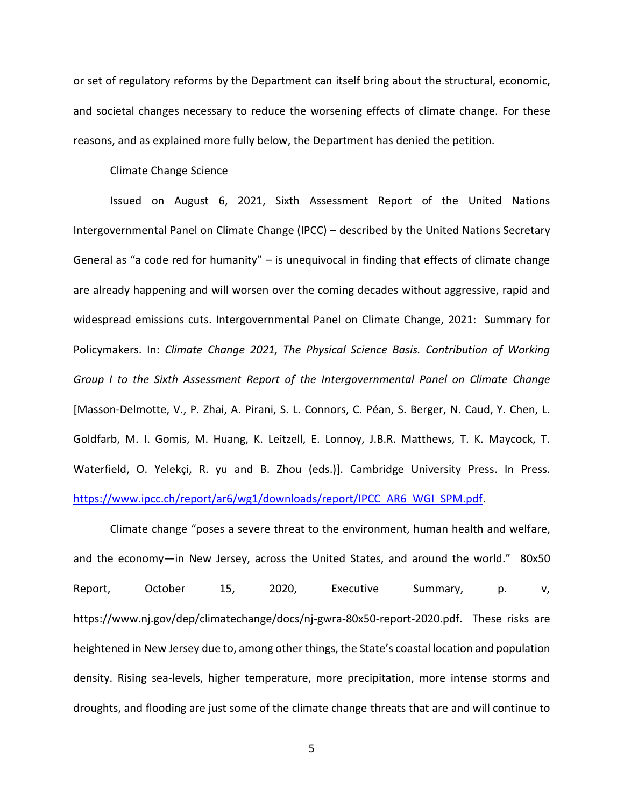or set of regulatory reforms by the Department can itself bring about the structural, economic, and societal changes necessary to reduce the worsening effects of climate change. For these reasons, and as explained more fully below, the Department has denied the petition.

### Climate Change Science

Issued on August 6, 2021, Sixth Assessment Report of the United Nations Intergovernmental Panel on Climate Change (IPCC) – described by the United Nations Secretary General as "a code red for humanity"  $-$  is unequivocal in finding that effects of climate change are already happening and will worsen over the coming decades without aggressive, rapid and widespread emissions cuts. Intergovernmental Panel on Climate Change, 2021: Summary for Policymakers. In: *Climate Change 2021, The Physical Science Basis. Contribution of Working Group I to the Sixth Assessment Report of the Intergovernmental Panel on Climate Change*  [Masson-Delmotte, V., P. Zhai, A. Pirani, S. L. Connors, C. Péan, S. Berger, N. Caud, Y. Chen, L. Goldfarb, M. I. Gomis, M. Huang, K. Leitzell, E. Lonnoy, J.B.R. Matthews, T. K. Maycock, T. Waterfield, O. Yelekçi, R. yu and B. Zhou (eds.)]. Cambridge University Press. In Press. [https://www.ipcc.ch/report/ar6/wg1/downloads/report/IPCC\\_AR6\\_WGI\\_SPM.pdf.](https://www.ipcc.ch/report/ar6/wg1/downloads/report/IPCC_AR6_WGI_SPM.pdf)

Climate change "poses a severe threat to the environment, human health and welfare, and the economy—in New Jersey, across the United States, and around the world." 80x50 Report, October 15, 2020, Executive Summary, p. v, https://www.nj.gov/dep/climatechange/docs/nj-gwra-80x50-report-2020.pdf. These risks are heightened in New Jersey due to, among other things, the State's coastal location and population density. Rising sea-levels, higher temperature, more precipitation, more intense storms and droughts, and flooding are just some of the climate change threats that are and will continue to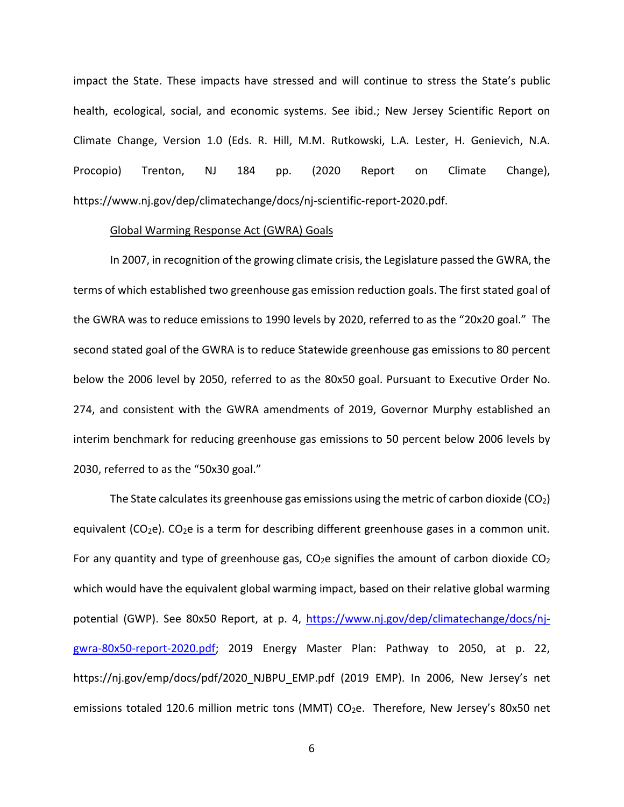impact the State. These impacts have stressed and will continue to stress the State's public health, ecological, social, and economic systems. See ibid.; New Jersey Scientific Report on Climate Change, Version 1.0 (Eds. R. Hill, M.M. Rutkowski, L.A. Lester, H. Genievich, N.A. Procopio) Trenton, NJ 184 pp. (2020 Report on Climate Change), https://www.nj.gov/dep/climatechange/docs/nj-scientific-report-2020.pdf.

# Global Warming Response Act (GWRA) Goals

In 2007, in recognition of the growing climate crisis, the Legislature passed the GWRA, the terms of which established two greenhouse gas emission reduction goals. The first stated goal of the GWRA was to reduce emissions to 1990 levels by 2020, referred to as the "20x20 goal." The second stated goal of the GWRA is to reduce Statewide greenhouse gas emissions to 80 percent below the 2006 level by 2050, referred to as the 80x50 goal. Pursuant to Executive Order No. 274, and consistent with the GWRA amendments of 2019, Governor Murphy established an interim benchmark for reducing greenhouse gas emissions to 50 percent below 2006 levels by 2030, referred to as the "50x30 goal."

The State calculates its greenhouse gas emissions using the metric of carbon dioxide  $(CO<sub>2</sub>)$ equivalent (CO<sub>2</sub>e). CO<sub>2</sub>e is a term for describing different greenhouse gases in a common unit. For any quantity and type of greenhouse gas,  $CO<sub>2</sub>e$  signifies the amount of carbon dioxide  $CO<sub>2</sub>$ which would have the equivalent global warming impact, based on their relative global warming potential (GWP). See 80x50 Report, at p. 4, [https://www.nj.gov/dep/climatechange/docs/nj](https://www.nj.gov/dep/climatechange/docs/nj-gwra-80x50-report-2020.pdf)[gwra-80x50-report-2020.pdf;](https://www.nj.gov/dep/climatechange/docs/nj-gwra-80x50-report-2020.pdf) 2019 Energy Master Plan: Pathway to 2050, at p. 22, https://nj.gov/emp/docs/pdf/2020\_NJBPU\_EMP.pdf (2019 EMP). In 2006, New Jersey's net emissions totaled 120.6 million metric tons (MMT) CO<sub>2</sub>e. Therefore, New Jersey's 80x50 net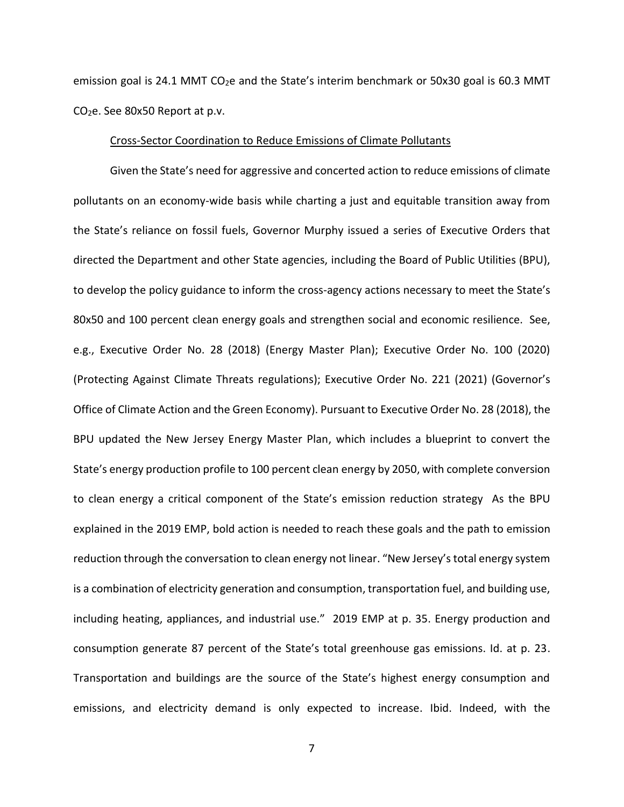emission goal is 24.1 MMT  $CO<sub>2</sub>e$  and the State's interim benchmark or 50x30 goal is 60.3 MMT CO2e. See 80x50 Report at p.v.

### Cross-Sector Coordination to Reduce Emissions of Climate Pollutants

Given the State's need for aggressive and concerted action to reduce emissions of climate pollutants on an economy-wide basis while charting a just and equitable transition away from the State's reliance on fossil fuels, Governor Murphy issued a series of Executive Orders that directed the Department and other State agencies, including the Board of Public Utilities (BPU), to develop the policy guidance to inform the cross-agency actions necessary to meet the State's 80x50 and 100 percent clean energy goals and strengthen social and economic resilience. See, e.g., Executive Order No. 28 (2018) (Energy Master Plan); Executive Order No. 100 (2020) (Protecting Against Climate Threats regulations); Executive Order No. 221 (2021) (Governor's Office of Climate Action and the Green Economy). Pursuant to Executive Order No. 28 (2018), the BPU updated the New Jersey Energy Master Plan, which includes a blueprint to convert the State's energy production profile to 100 percent clean energy by 2050, with complete conversion to clean energy a critical component of the State's emission reduction strategy As the BPU explained in the 2019 EMP, bold action is needed to reach these goals and the path to emission reduction through the conversation to clean energy not linear. "New Jersey's total energy system is a combination of electricity generation and consumption, transportation fuel, and building use, including heating, appliances, and industrial use." 2019 EMP at p. 35. Energy production and consumption generate 87 percent of the State's total greenhouse gas emissions. Id. at p. 23. Transportation and buildings are the source of the State's highest energy consumption and emissions, and electricity demand is only expected to increase. Ibid. Indeed, with the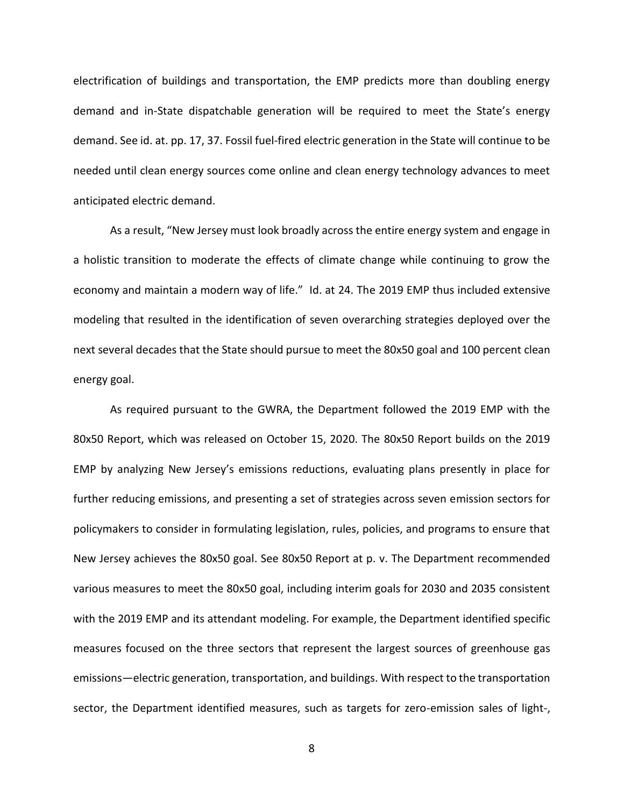electrification of buildings and transportation, the EMP predicts more than doubling energy demand and in-State dispatchable generation will be required to meet the State's energy demand. See id. at. pp. 17, 37. Fossil fuel-fired electric generation in the State will continue to be needed until clean energy sources come online and clean energy technology advances to meet anticipated electric demand.

As a result, "New Jersey must look broadly across the entire energy system and engage in a holistic transition to moderate the effects of climate change while continuing to grow the economy and maintain a modern way of life." Id. at 24. The 2019 EMP thus included extensive modeling that resulted in the identification of seven overarching strategies deployed over the next several decades that the State should pursue to meet the 80x50 goal and 100 percent clean energy goal.

As required pursuant to the GWRA, the Department followed the 2019 EMP with the 80x50 Report, which was released on October 15, 2020. The 80x50 Report builds on the 2019 EMP by analyzing New Jersey's emissions reductions, evaluating plans presently in place for further reducing emissions, and presenting a set of strategies across seven emission sectors for policymakers to consider in formulating legislation, rules, policies, and programs to ensure that New Jersey achieves the 80x50 goal. See 80x50 Report at p. v. The Department recommended various measures to meet the 80x50 goal, including interim goals for 2030 and 2035 consistent with the 2019 EMP and its attendant modeling. For example, the Department identified specific measures focused on the three sectors that represent the largest sources of greenhouse gas emissions—electric generation, transportation, and buildings. With respect to the transportation sector, the Department identified measures, such as targets for zero-emission sales of light-,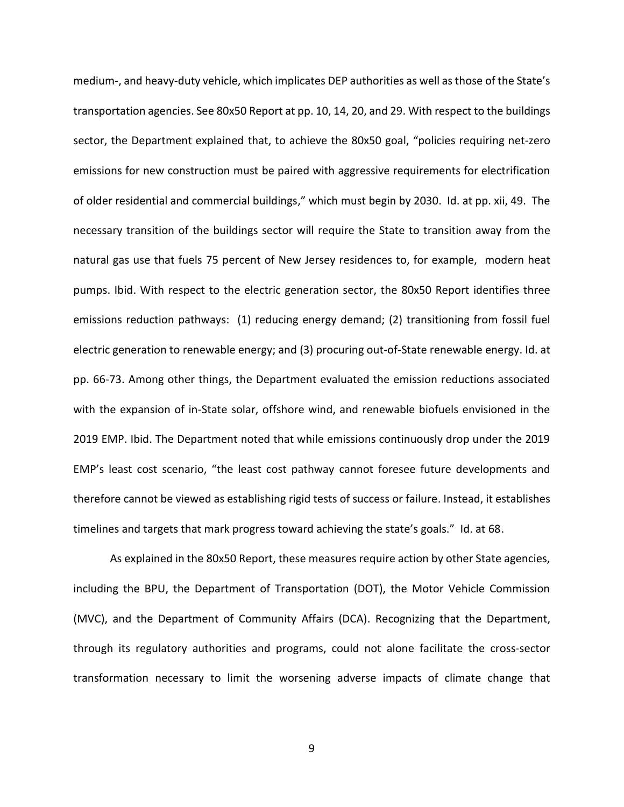medium-, and heavy-duty vehicle, which implicates DEP authorities as well as those of the State's transportation agencies. See 80x50 Report at pp. 10, 14, 20, and 29. With respect to the buildings sector, the Department explained that, to achieve the 80x50 goal, "policies requiring net-zero emissions for new construction must be paired with aggressive requirements for electrification of older residential and commercial buildings," which must begin by 2030. Id. at pp. xii, 49. The necessary transition of the buildings sector will require the State to transition away from the natural gas use that fuels 75 percent of New Jersey residences to, for example, modern heat pumps. Ibid. With respect to the electric generation sector, the 80x50 Report identifies three emissions reduction pathways: (1) reducing energy demand; (2) transitioning from fossil fuel electric generation to renewable energy; and (3) procuring out-of-State renewable energy. Id. at pp. 66-73. Among other things, the Department evaluated the emission reductions associated with the expansion of in-State solar, offshore wind, and renewable biofuels envisioned in the 2019 EMP. Ibid. The Department noted that while emissions continuously drop under the 2019 EMP's least cost scenario, "the least cost pathway cannot foresee future developments and therefore cannot be viewed as establishing rigid tests of success or failure. Instead, it establishes timelines and targets that mark progress toward achieving the state's goals." Id. at 68.

As explained in the 80x50 Report, these measures require action by other State agencies, including the BPU, the Department of Transportation (DOT), the Motor Vehicle Commission (MVC), and the Department of Community Affairs (DCA). Recognizing that the Department, through its regulatory authorities and programs, could not alone facilitate the cross-sector transformation necessary to limit the worsening adverse impacts of climate change that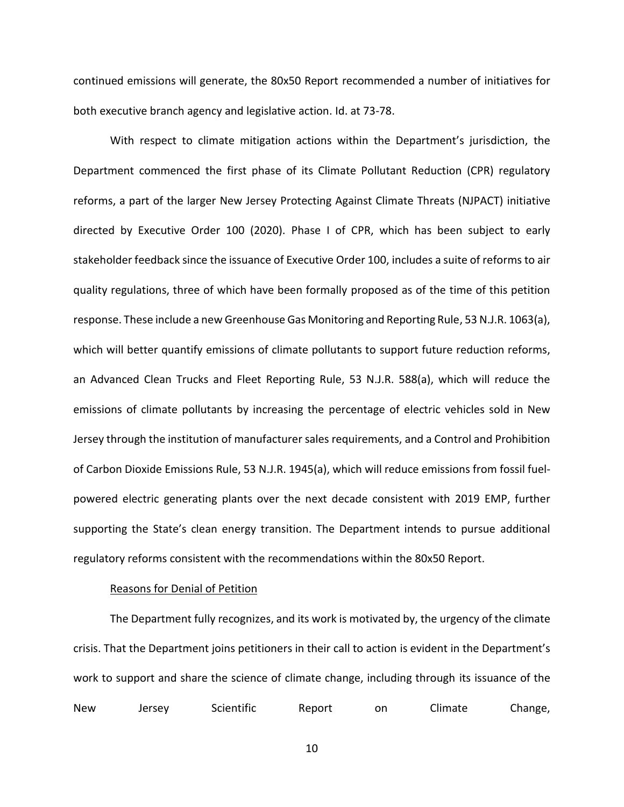continued emissions will generate, the 80x50 Report recommended a number of initiatives for both executive branch agency and legislative action. Id. at 73-78.

With respect to climate mitigation actions within the Department's jurisdiction, the Department commenced the first phase of its Climate Pollutant Reduction (CPR) regulatory reforms, a part of the larger New Jersey Protecting Against Climate Threats (NJPACT) initiative directed by Executive Order 100 (2020). Phase I of CPR, which has been subject to early stakeholder feedback since the issuance of Executive Order 100, includes a suite of reforms to air quality regulations, three of which have been formally proposed as of the time of this petition response. These include a new Greenhouse Gas Monitoring and Reporting Rule, 53 N.J.R. 1063(a), which will better quantify emissions of climate pollutants to support future reduction reforms, an Advanced Clean Trucks and Fleet Reporting Rule, 53 N.J.R. 588(a), which will reduce the emissions of climate pollutants by increasing the percentage of electric vehicles sold in New Jersey through the institution of manufacturer sales requirements, and a Control and Prohibition of Carbon Dioxide Emissions Rule, 53 N.J.R. 1945(a), which will reduce emissions from fossil fuelpowered electric generating plants over the next decade consistent with 2019 EMP, further supporting the State's clean energy transition. The Department intends to pursue additional regulatory reforms consistent with the recommendations within the 80x50 Report.

## Reasons for Denial of Petition

The Department fully recognizes, and its work is motivated by, the urgency of the climate crisis. That the Department joins petitioners in their call to action is evident in the Department's work to support and share the science of climate change, including through its issuance of the New Jersey Scientific Report on Climate Change,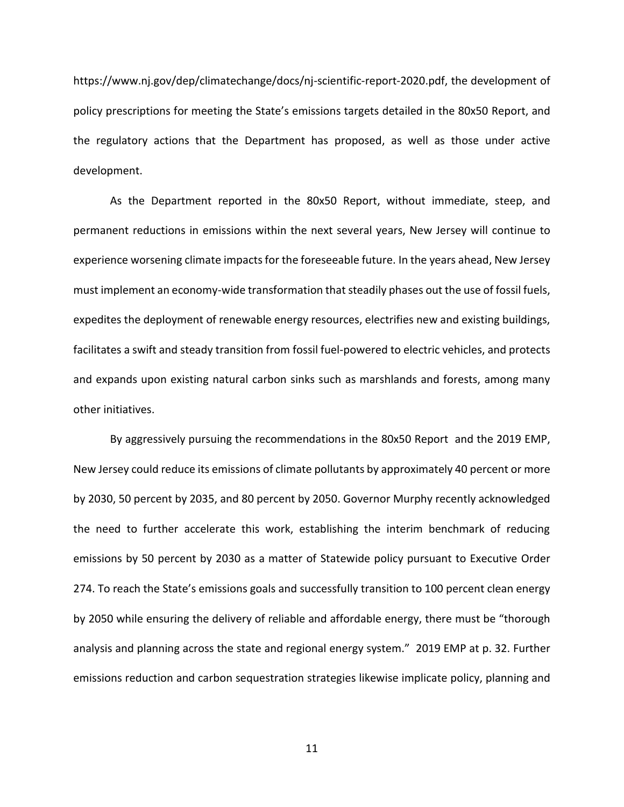https://www.nj.gov/dep/climatechange/docs/nj-scientific-report-2020.pdf, the development of policy prescriptions for meeting the State's emissions targets detailed in the 80x50 Report, and the regulatory actions that the Department has proposed, as well as those under active development.

As the Department reported in the 80x50 Report, without immediate, steep, and permanent reductions in emissions within the next several years, New Jersey will continue to experience worsening climate impacts for the foreseeable future. In the years ahead, New Jersey must implement an economy-wide transformation that steadily phases out the use of fossil fuels, expedites the deployment of renewable energy resources, electrifies new and existing buildings, facilitates a swift and steady transition from fossil fuel-powered to electric vehicles, and protects and expands upon existing natural carbon sinks such as marshlands and forests, among many other initiatives.

By aggressively pursuing the recommendations in the 80x50 Report and the 2019 EMP, New Jersey could reduce its emissions of climate pollutants by approximately 40 percent or more by 2030, 50 percent by 2035, and 80 percent by 2050. Governor Murphy recently acknowledged the need to further accelerate this work, establishing the interim benchmark of reducing emissions by 50 percent by 2030 as a matter of Statewide policy pursuant to Executive Order 274. To reach the State's emissions goals and successfully transition to 100 percent clean energy by 2050 while ensuring the delivery of reliable and affordable energy, there must be "thorough analysis and planning across the state and regional energy system." 2019 EMP at p. 32. Further emissions reduction and carbon sequestration strategies likewise implicate policy, planning and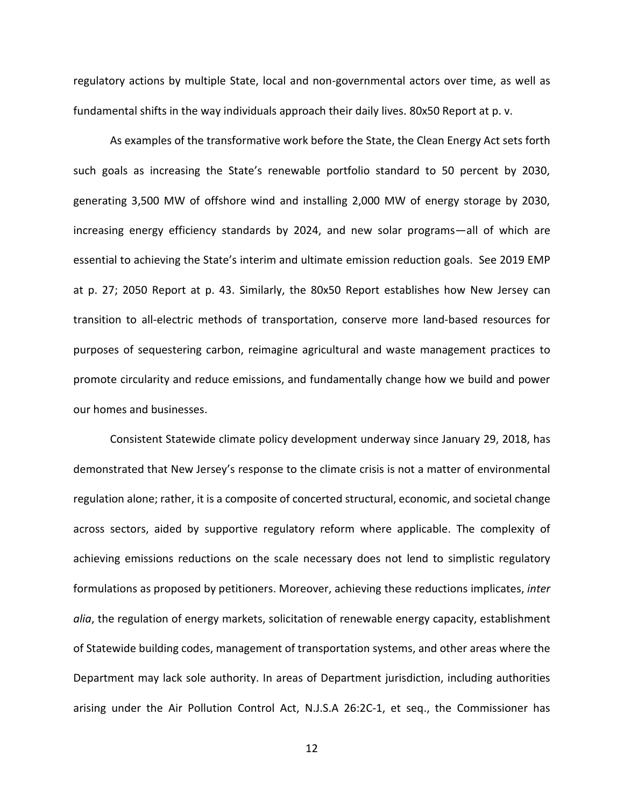regulatory actions by multiple State, local and non-governmental actors over time, as well as fundamental shifts in the way individuals approach their daily lives. 80x50 Report at p. v.

As examples of the transformative work before the State, the Clean Energy Act sets forth such goals as increasing the State's renewable portfolio standard to 50 percent by 2030, generating 3,500 MW of offshore wind and installing 2,000 MW of energy storage by 2030, increasing energy efficiency standards by 2024, and new solar programs—all of which are essential to achieving the State's interim and ultimate emission reduction goals. See 2019 EMP at p. 27; 2050 Report at p. 43. Similarly, the 80x50 Report establishes how New Jersey can transition to all-electric methods of transportation, conserve more land-based resources for purposes of sequestering carbon, reimagine agricultural and waste management practices to promote circularity and reduce emissions, and fundamentally change how we build and power our homes and businesses.

Consistent Statewide climate policy development underway since January 29, 2018, has demonstrated that New Jersey's response to the climate crisis is not a matter of environmental regulation alone; rather, it is a composite of concerted structural, economic, and societal change across sectors, aided by supportive regulatory reform where applicable. The complexity of achieving emissions reductions on the scale necessary does not lend to simplistic regulatory formulations as proposed by petitioners. Moreover, achieving these reductions implicates, *inter alia*, the regulation of energy markets, solicitation of renewable energy capacity, establishment of Statewide building codes, management of transportation systems, and other areas where the Department may lack sole authority. In areas of Department jurisdiction, including authorities arising under the Air Pollution Control Act, N.J.S.A 26:2C-1, et seq., the Commissioner has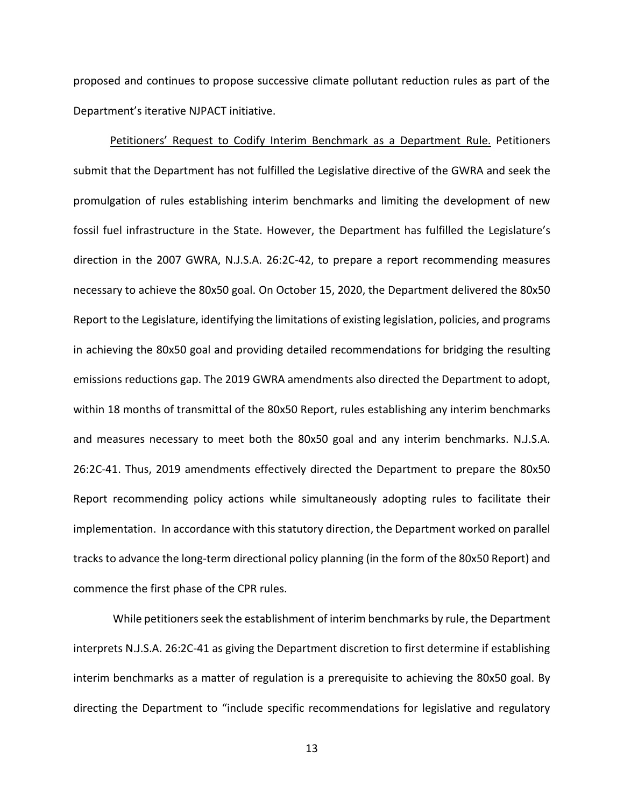proposed and continues to propose successive climate pollutant reduction rules as part of the Department's iterative NJPACT initiative.

Petitioners' Request to Codify Interim Benchmark as a Department Rule. Petitioners submit that the Department has not fulfilled the Legislative directive of the GWRA and seek the promulgation of rules establishing interim benchmarks and limiting the development of new fossil fuel infrastructure in the State. However, the Department has fulfilled the Legislature's direction in the 2007 GWRA, N.J.S.A. 26:2C-42, to prepare a report recommending measures necessary to achieve the 80x50 goal. On October 15, 2020, the Department delivered the 80x50 Report to the Legislature, identifying the limitations of existing legislation, policies, and programs in achieving the 80x50 goal and providing detailed recommendations for bridging the resulting emissions reductions gap. The 2019 GWRA amendments also directed the Department to adopt, within 18 months of transmittal of the 80x50 Report, rules establishing any interim benchmarks and measures necessary to meet both the 80x50 goal and any interim benchmarks. N.J.S.A. 26:2C-41. Thus, 2019 amendments effectively directed the Department to prepare the 80x50 Report recommending policy actions while simultaneously adopting rules to facilitate their implementation. In accordance with this statutory direction, the Department worked on parallel tracks to advance the long-term directional policy planning (in the form of the 80x50 Report) and commence the first phase of the CPR rules.

While petitioners seek the establishment of interim benchmarks by rule, the Department interprets N.J.S.A. 26:2C-41 as giving the Department discretion to first determine if establishing interim benchmarks as a matter of regulation is a prerequisite to achieving the 80x50 goal. By directing the Department to "include specific recommendations for legislative and regulatory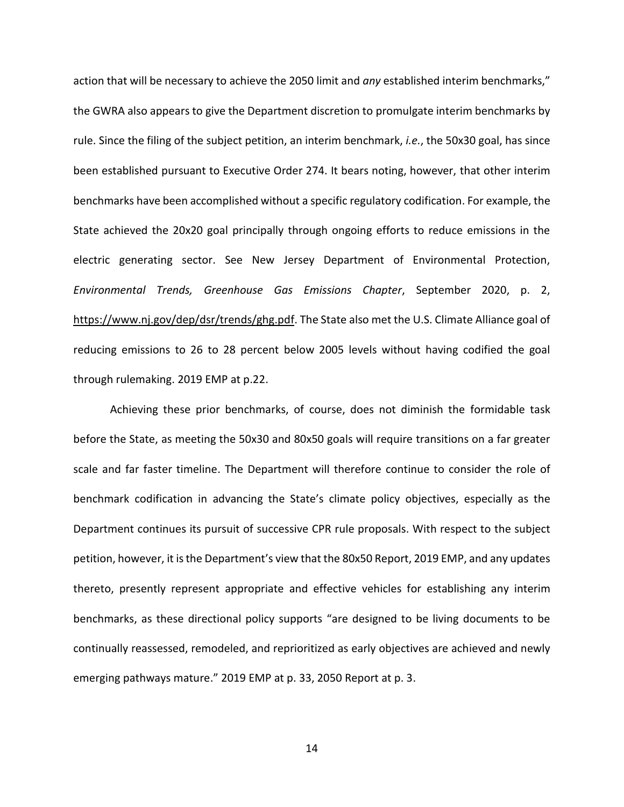action that will be necessary to achieve the 2050 limit and *any* established interim benchmarks," the GWRA also appears to give the Department discretion to promulgate interim benchmarks by rule. Since the filing of the subject petition, an interim benchmark, *i.e.*, the 50x30 goal, has since been established pursuant to Executive Order 274. It bears noting, however, that other interim benchmarks have been accomplished without a specific regulatory codification. For example, the State achieved the 20x20 goal principally through ongoing efforts to reduce emissions in the electric generating sector. See New Jersey Department of Environmental Protection, *Environmental Trends, Greenhouse Gas Emissions Chapter*, September 2020, p. 2, https://www.nj.gov/dep/dsr/trends/ghg.pdf. The State also met the U.S. Climate Alliance goal of reducing emissions to 26 to 28 percent below 2005 levels without having codified the goal through rulemaking. 2019 EMP at p.22.

Achieving these prior benchmarks, of course, does not diminish the formidable task before the State, as meeting the 50x30 and 80x50 goals will require transitions on a far greater scale and far faster timeline. The Department will therefore continue to consider the role of benchmark codification in advancing the State's climate policy objectives, especially as the Department continues its pursuit of successive CPR rule proposals. With respect to the subject petition, however, it is the Department's view that the 80x50 Report, 2019 EMP, and any updates thereto, presently represent appropriate and effective vehicles for establishing any interim benchmarks, as these directional policy supports "are designed to be living documents to be continually reassessed, remodeled, and reprioritized as early objectives are achieved and newly emerging pathways mature." 2019 EMP at p. 33, 2050 Report at p. 3.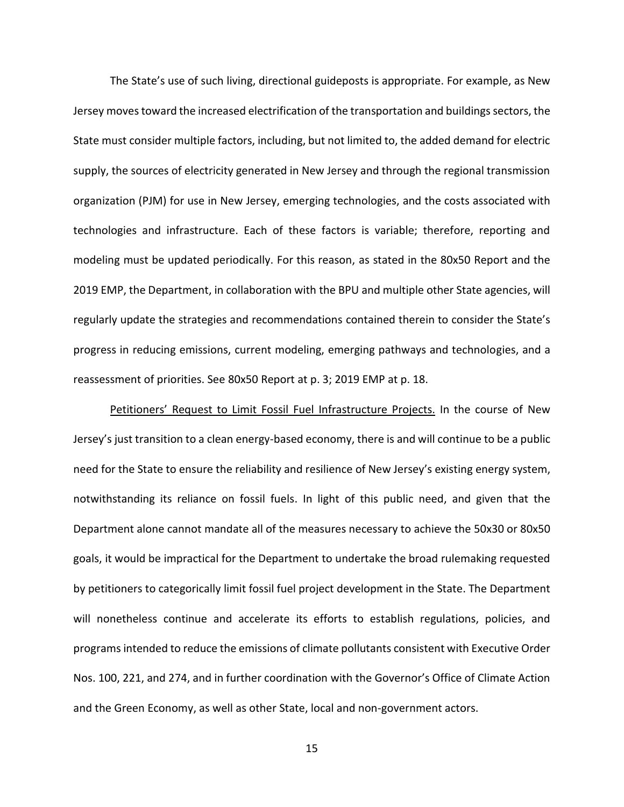The State's use of such living, directional guideposts is appropriate. For example, as New Jersey moves toward the increased electrification of the transportation and buildings sectors, the State must consider multiple factors, including, but not limited to, the added demand for electric supply, the sources of electricity generated in New Jersey and through the regional transmission organization (PJM) for use in New Jersey, emerging technologies, and the costs associated with technologies and infrastructure. Each of these factors is variable; therefore, reporting and modeling must be updated periodically. For this reason, as stated in the 80x50 Report and the 2019 EMP, the Department, in collaboration with the BPU and multiple other State agencies, will regularly update the strategies and recommendations contained therein to consider the State's progress in reducing emissions, current modeling, emerging pathways and technologies, and a reassessment of priorities. See 80x50 Report at p. 3; 2019 EMP at p. 18.

Petitioners' Request to Limit Fossil Fuel Infrastructure Projects. In the course of New Jersey's just transition to a clean energy-based economy, there is and will continue to be a public need for the State to ensure the reliability and resilience of New Jersey's existing energy system, notwithstanding its reliance on fossil fuels. In light of this public need, and given that the Department alone cannot mandate all of the measures necessary to achieve the 50x30 or 80x50 goals, it would be impractical for the Department to undertake the broad rulemaking requested by petitioners to categorically limit fossil fuel project development in the State. The Department will nonetheless continue and accelerate its efforts to establish regulations, policies, and programs intended to reduce the emissions of climate pollutants consistent with Executive Order Nos. 100, 221, and 274, and in further coordination with the Governor's Office of Climate Action and the Green Economy, as well as other State, local and non-government actors.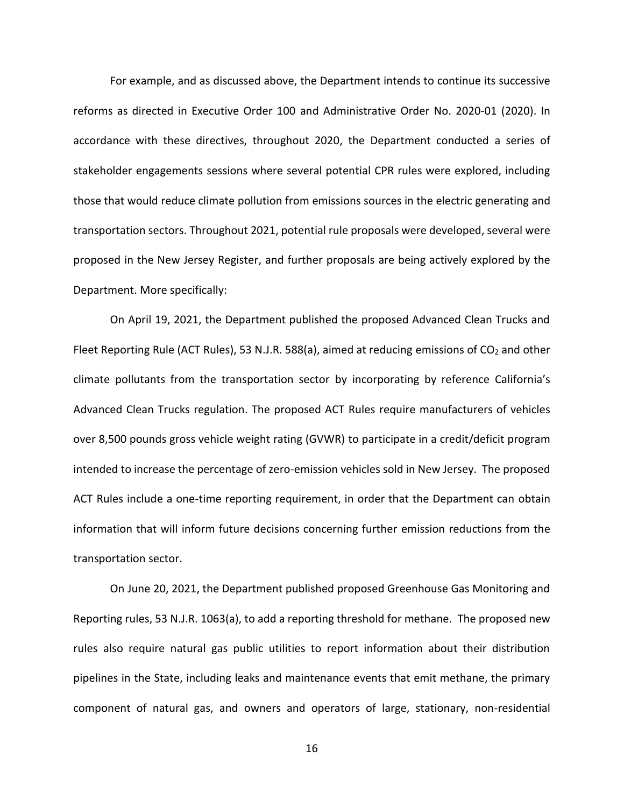For example, and as discussed above, the Department intends to continue its successive reforms as directed in Executive Order 100 and Administrative Order No. 2020-01 (2020). In accordance with these directives, throughout 2020, the Department conducted a series of stakeholder engagements sessions where several potential CPR rules were explored, including those that would reduce climate pollution from emissions sources in the electric generating and transportation sectors. Throughout 2021, potential rule proposals were developed, several were proposed in the New Jersey Register, and further proposals are being actively explored by the Department. More specifically:

On April 19, 2021, the Department published the proposed Advanced Clean Trucks and Fleet Reporting Rule (ACT Rules), 53 N.J.R. 588(a), aimed at reducing emissions of  $CO<sub>2</sub>$  and other climate pollutants from the transportation sector by incorporating by reference California's Advanced Clean Trucks regulation. The proposed ACT Rules require manufacturers of vehicles over 8,500 pounds gross vehicle weight rating (GVWR) to participate in a credit/deficit program intended to increase the percentage of zero-emission vehicles sold in New Jersey. The proposed ACT Rules include a one-time reporting requirement, in order that the Department can obtain information that will inform future decisions concerning further emission reductions from the transportation sector.

On June 20, 2021, the Department published proposed Greenhouse Gas Monitoring and Reporting rules, 53 N.J.R. 1063(a), to add a reporting threshold for methane. The proposed new rules also require natural gas public utilities to report information about their distribution pipelines in the State, including leaks and maintenance events that emit methane, the primary component of natural gas, and owners and operators of large, stationary, non-residential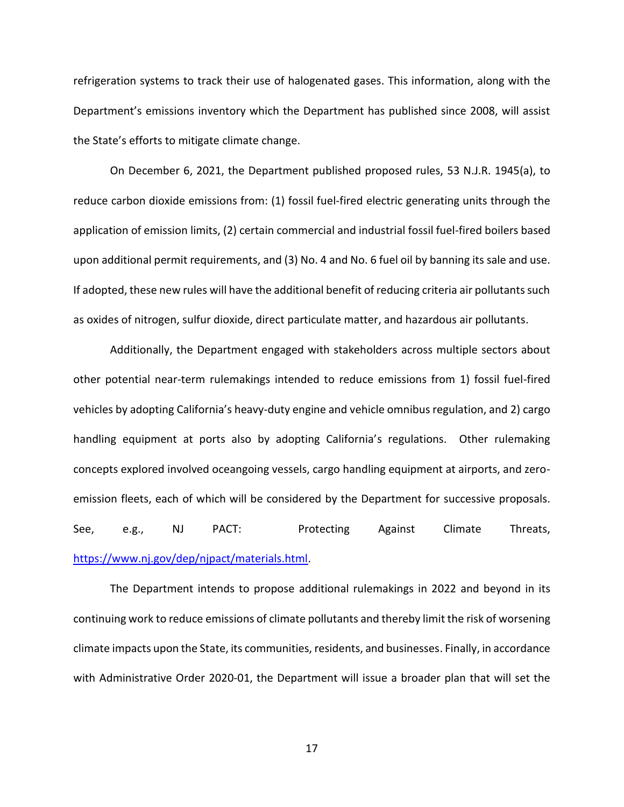refrigeration systems to track their use of halogenated gases. This information, along with the Department's emissions inventory which the Department has published since 2008, will assist the State's efforts to mitigate climate change.

On December 6, 2021, the Department published proposed rules, 53 N.J.R. 1945(a), to reduce carbon dioxide emissions from: (1) fossil fuel-fired electric generating units through the application of emission limits, (2) certain commercial and industrial fossil fuel-fired boilers based upon additional permit requirements, and (3) No. 4 and No. 6 fuel oil by banning its sale and use. If adopted, these new rules will have the additional benefit of reducing criteria air pollutants such as oxides of nitrogen, sulfur dioxide, direct particulate matter, and hazardous air pollutants.

Additionally, the Department engaged with stakeholders across multiple sectors about other potential near-term rulemakings intended to reduce emissions from 1) fossil fuel-fired vehicles by adopting California's heavy-duty engine and vehicle omnibus regulation, and 2) cargo handling equipment at ports also by adopting California's regulations. Other rulemaking concepts explored involved oceangoing vessels, cargo handling equipment at airports, and zeroemission fleets, each of which will be considered by the Department for successive proposals. See, e.g., NJ PACT: Protecting Against Climate Threats, [https://www.nj.gov/dep/njpact/materials.html.](https://www.nj.gov/dep/njpact/materials.html)

The Department intends to propose additional rulemakings in 2022 and beyond in its continuing work to reduce emissions of climate pollutants and thereby limit the risk of worsening climate impacts upon the State, its communities, residents, and businesses. Finally, in accordance with Administrative Order 2020-01, the Department will issue a broader plan that will set the